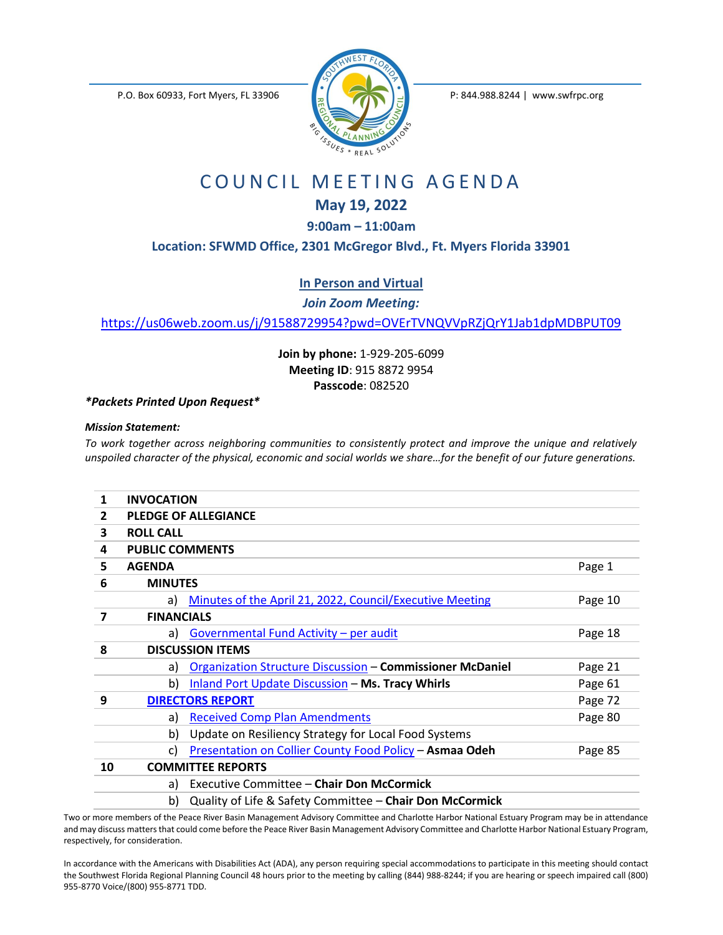P.O. Box 60933, Fort Myers, FL 33906 P: 844.988.8244 | www.swfrpc.org



## COUNCIL MEETING AGENDA

## **May 19, 2022**

**9:00am – 11:00am**

**Location: SFWMD Office, 2301 McGregor Blvd., Ft. Myers Florida 33901**

**In Person and Virtual**

*Join Zoom Meeting:*

<https://us06web.zoom.us/j/91588729954?pwd=OVErTVNQVVpRZjQrY1Jab1dpMDBPUT09>

**Join by phone:** 1-929-205-6099 **Meeting ID**: 915 8872 9954 **Passcode**: 082520

*\*Packets Printed Upon Request\**

## *Mission Statement:*

*To work together across neighboring communities to consistently protect and improve the unique and relatively unspoiled character of the physical, economic and social worlds we share...for the benefit of our future generations.* 

| 1            | <b>INVOCATION</b>       |                                                                  |         |
|--------------|-------------------------|------------------------------------------------------------------|---------|
| $\mathbf{2}$ |                         | <b>PLEDGE OF ALLEGIANCE</b>                                      |         |
| 3            | <b>ROLL CALL</b>        |                                                                  |         |
| 4            | <b>PUBLIC COMMENTS</b>  |                                                                  |         |
| 5.           | <b>AGENDA</b>           |                                                                  | Page 1  |
| 6            | <b>MINUTES</b>          |                                                                  |         |
|              | a)                      | Minutes of the April 21, 2022, Council/Executive Meeting         | Page 10 |
| 7            | <b>FINANCIALS</b>       |                                                                  |         |
|              | a)                      | Governmental Fund Activity - per audit                           | Page 18 |
| 8            | <b>DISCUSSION ITEMS</b> |                                                                  |         |
|              | a)                      | <b>Organization Structure Discussion - Commissioner McDaniel</b> | Page 21 |
|              | b)                      | Inland Port Update Discussion - Ms. Tracy Whirls                 | Page 61 |
| 9            |                         | <b>DIRECTORS REPORT</b>                                          | Page 72 |
|              | a)                      | <b>Received Comp Plan Amendments</b>                             | Page 80 |
|              | b)                      | Update on Resiliency Strategy for Local Food Systems             |         |
|              | C)                      | Presentation on Collier County Food Policy - Asmaa Odeh          | Page 85 |
| 10           |                         | <b>COMMITTEE REPORTS</b>                                         |         |
|              | a)                      | Executive Committee - Chair Don McCormick                        |         |
|              | b)                      | Quality of Life & Safety Committee - Chair Don McCormick         |         |

Two or more members of the Peace River Basin Management Advisory Committee and Charlotte Harbor National Estuary Program may be in attendance and may discuss matters that could come before the Peace River Basin Management Advisory Committee and Charlotte Harbor National Estuary Program, respectively, for consideration.

In accordance with the Americans with Disabilities Act (ADA), any person requiring special accommodations to participate in this meeting should contact the Southwest Florida Regional Planning Council 48 hours prior to the meeting by calling (844) 988-8244; if you are hearing or speech impaired call (800) 955-8770 Voice/(800) 955-8771 TDD.